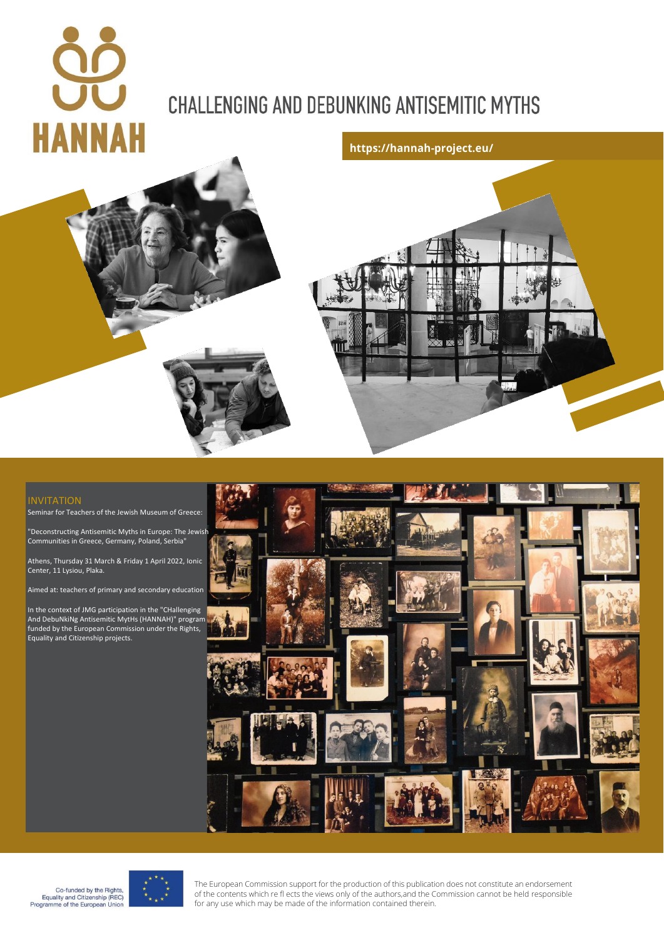# **CHALLENGING AND DEBUNKING ANTISEMITIC MYTHS**





Seminar for Teachers of the Jewish Museum of Greece:

"Deconstructing Antisemitic Myths in Europe: The Jewish Communities in Greece, Germany, Poland, Serbia"

Athens, Thursday 31 March & Friday 1 April 2022, Ionic Center, 11 Lysiou, Plaka.

Aimed at: teachers of primary and secondary education

In the context of JMG participation in the "CHallenging And DebuNkiNg Antisemitic MytHs (HANNAH)" program funded by the European Commission under the Rights, Equality and Citizenship projects.







The European Commission support for the production of this publication does not constitute an endorsement of the contents which re fl ects the views only of the authors,and the Commission cannot be held responsible for any use which may be made of the information contained therein.